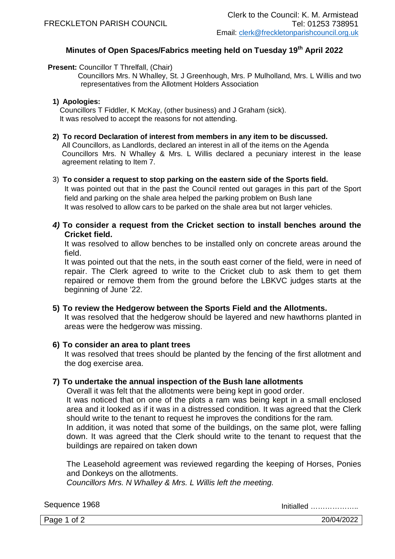# **Minutes of Open Spaces/Fabrics meeting held on Tuesday 19th April 2022**

# **Present: Councillor T Threlfall, (Chair)**

 Councillors Mrs. N Whalley, St. J Greenhough, Mrs. P Mulholland, Mrs. L Willis and two representatives from the Allotment Holders Association

# **1) Apologies:**

Councillors T Fiddler, K McKay, (other business) and J Graham (sick). It was resolved to accept the reasons for not attending.

# **2) To record Declaration of interest from members in any item to be discussed.**

All Councillors, as Landlords, declared an interest in all of the items on the Agenda Councillors Mrs. N Whalley & Mrs. L Willis declared a pecuniary interest in the lease agreement relating to Item 7.

# 3) **To consider a request to stop parking on the eastern side of the Sports field.**

It was pointed out that in the past the Council rented out garages in this part of the Sport field and parking on the shale area helped the parking problem on Bush lane It was resolved to allow cars to be parked on the shale area but not larger vehicles.

# *4)* **To consider a request from the Cricket section to install benches around the Cricket field.**

It was resolved to allow benches to be installed only on concrete areas around the field.

It was pointed out that the nets, in the south east corner of the field, were in need of repair. The Clerk agreed to write to the Cricket club to ask them to get them repaired or remove them from the ground before the LBKVC judges starts at the beginning of June '22.

# **5) To review the Hedgerow between the Sports Field and the Allotments.**

It was resolved that the hedgerow should be layered and new hawthorns planted in areas were the hedgerow was missing.

# **6) To consider an area to plant trees**

It was resolved that trees should be planted by the fencing of the first allotment and the dog exercise area.

# **7) To undertake the annual inspection of the Bush lane allotments**

Overall it was felt that the allotments were being kept in good order.

It was noticed that on one of the plots a ram was being kept in a small enclosed area and it looked as if it was in a distressed condition. It was agreed that the Clerk should write to the tenant to request he improves the conditions for the ram.

In addition, it was noted that some of the buildings, on the same plot, were falling down. It was agreed that the Clerk should write to the tenant to request that the buildings are repaired on taken down

The Leasehold agreement was reviewed regarding the keeping of Horses, Ponies and Donkeys on the allotments.

*Councillors Mrs. N Whalley & Mrs. L Willis left the meeting.*

Sequence 1968 Initialled ………………..

Page 1 of 2 20/04/2022